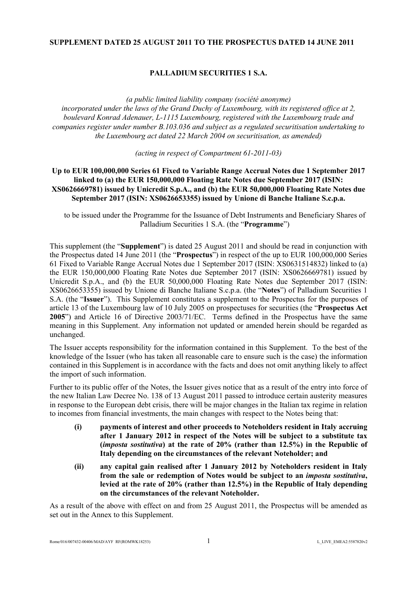## **SUPPLEMENT DATED 25 AUGUST 2011 TO THE PROSPECTUS DATED 14 JUNE 2011**

# **PALLADIUM SECURITIES 1 S.A.**

*(a public limited liability company (société anonyme) incorporated under the laws of the Grand Duchy of Luxembourg, with its registered office at 2, boulevard Konrad Adenauer, L-1115 Luxembourg, registered with the Luxembourg trade and companies register under number B.103.036 and subject as a regulated securitisation undertaking to the Luxembourg act dated 22 March 2004 on securitisation, as amended)* 

*(acting in respect of Compartment 61-2011-03)*

## **Up to EUR 100,000,000 Series 61 Fixed to Variable Range Accrual Notes due 1 September 2017 linked to (a) the EUR 150,000,000 Floating Rate Notes due September 2017 (ISIN: XS0626669781) issued by Unicredit S.p.A., and (b) the EUR 50,000,000 Floating Rate Notes due September 2017 (ISIN: XS0626653355) issued by Unione di Banche Italiane S.c.p.a.**

to be issued under the Programme for the Issuance of Debt Instruments and Beneficiary Shares of Palladium Securities 1 S.A. (the "**Programme**")

This supplement (the "**Supplement**") is dated 25 August 2011 and should be read in conjunction with the Prospectus dated 14 June 2011 (the "**Prospectus**") in respect of the up to EUR 100,000,000 Series 61 Fixed to Variable Range Accrual Notes due 1 September 2017 (ISIN: XS0631514832) linked to (a) the EUR 150,000,000 Floating Rate Notes due September 2017 (ISIN: XS0626669781) issued by Unicredit S.p.A., and (b) the EUR 50,000,000 Floating Rate Notes due September 2017 (ISIN: XS0626653355) issued by Unione di Banche Italiane S.c.p.a. (the "**Notes**") of Palladium Securities 1 S.A. (the "**Issuer**"). This Supplement constitutes a supplement to the Prospectus for the purposes of article 13 of the Luxembourg law of 10 July 2005 on prospectuses for securities (the "**Prospectus Act 2005**") and Article 16 of Directive 2003/71/EC. Terms defined in the Prospectus have the same meaning in this Supplement. Any information not updated or amended herein should be regarded as unchanged.

The Issuer accepts responsibility for the information contained in this Supplement. To the best of the knowledge of the Issuer (who has taken all reasonable care to ensure such is the case) the information contained in this Supplement is in accordance with the facts and does not omit anything likely to affect the import of such information.

Further to its public offer of the Notes, the Issuer gives notice that as a result of the entry into force of the new Italian Law Decree No. 138 of 13 August 2011 passed to introduce certain austerity measures in response to the European debt crisis, there will be major changes in the Italian tax regime in relation to incomes from financial investments, the main changes with respect to the Notes being that:

- **(i) payments of interest and other proceeds to Noteholders resident in Italy accruing after 1 January 2012 in respect of the Notes will be subject to a substitute tax (***imposta sostitutiva***) at the rate of 20% (rather than 12.5%) in the Republic of Italy depending on the circumstances of the relevant Noteholder; and**
- **(ii) any capital gain realised after 1 January 2012 by Noteholders resident in Italy from the sale or redemption of Notes would be subject to an** *imposta sostitutiva***, levied at the rate of 20% (rather than 12.5%) in the Republic of Italy depending on the circumstances of the relevant Noteholder.**

As a result of the above with effect on and from 25 August 2011, the Prospectus will be amended as set out in the Annex to this Supplement.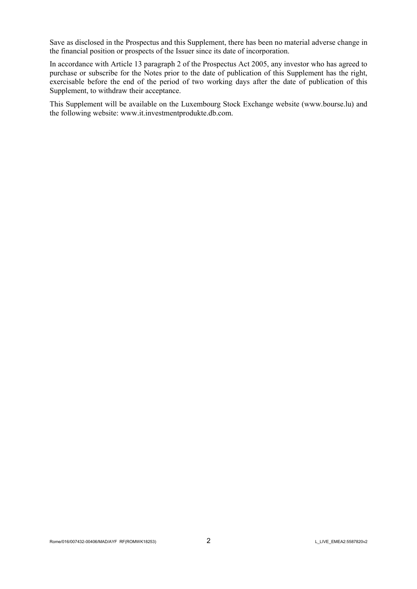Save as disclosed in the Prospectus and this Supplement, there has been no material adverse change in the financial position or prospects of the Issuer since its date of incorporation.

In accordance with Article 13 paragraph 2 of the Prospectus Act 2005, any investor who has agreed to purchase or subscribe for the Notes prior to the date of publication of this Supplement has the right, exercisable before the end of the period of two working days after the date of publication of this Supplement, to withdraw their acceptance.

This Supplement will be available on the Luxembourg Stock Exchange website [\(w](http://www.bourse.lu/)[ww.b](www.bo)[ourse.lu](http://www.bourse.lu/)) and the following website: [w](http://www.it.investmentprodukte.db.com/)[ww.it.i](www.it.in)[nvestmentprodukte.db.com](http://www.it.investmentprodukte.db.com/).